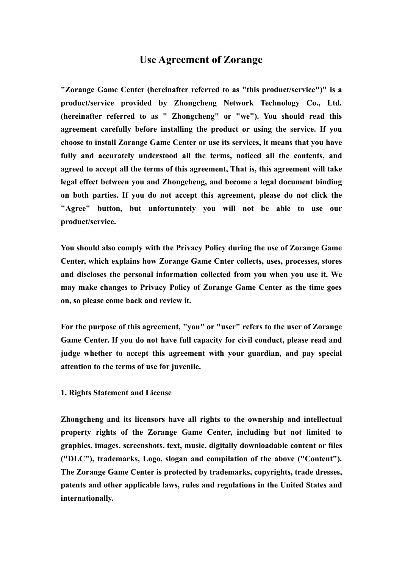# **Use Agreement of Zorange**

**"Zorange Game Center (hereinafter referred to as "this product/service")" is a product/service provided by Zhongcheng Network Technology Co., Ltd. (hereinafter referred to as " Zhongcheng" or "we"). You should read this agreement carefully before installing the product or using the service.If you choose to install Zorange Game Center or use its services, it means that you have fully and accurately understood all the terms, noticed all the contents, and agreed to accept all the terms of this agreement, That is, this agreement will take legal effect between you and Zhongcheng, and become a legal document binding on both parties. If you do not accept this agreement, please do not click the "Agree" button, but unfortunately you will not be able to use our product/service.**

**You should also comply with the Privacy Policy during the use of Zorange Game Center, which explains how Zorange Game Cnter collects,uses, processes, stores and discloses the personal information collected from you when you use it. We may make changes to Privacy Policy of Zorange Game Center as the time goes on, so please come back and review it.**

**For the purpose of this agreement, "you" or "user" refers to the user of Zorange Game Center. If you do not have full capacity for civil conduct, please read and judge whether to acceptthis agreement with your guardian, and pay special attention** to the terms of use for juvenile.

### **1. Rights Statement and License**

**Zhongcheng and its licensors have all rights to the ownership and intellectual property rights of the Zorange Game Center,including but not limited to graphics, images, screenshots, text, music, digitally downloadable content or files ("DLC"), trademarks, Logo, slogan and compilation of the above ("Content"). The Zorange Game Center is protected by trademarks, copyrights, trade dresses, patents and other applicable laws, rules and regulations in the United States and internationally.**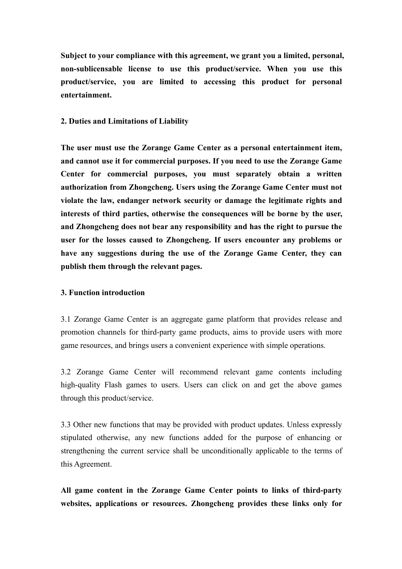**Subject to your compliance with this agreement, we grant you a limited, personal, non-sublicensable license to use this product/service. When you use this product/service, you are limited to accessing this product for personal entertainment.**

### **2. Duties and Limitations ofLiability**

**The user must use the Zorange Game Center as a personal entertainment item, and cannot use it for commercial purposes. If you need to use the Zorange Game Center for commercial purposes, you must separately obtain a written authorization from Zhongcheng. Usersusing the Zorange Game Center must not violate the law, endanger network security or damage the legitimate rights and interests of third parties, otherwise the consequences will be borne by the user, and Zhongcheng does not bear any responsibility and has the right to pursue the user for the losses caused to Zhongcheng. If users encounter any problems or have any suggestions during the use of the Zorange Game Center,they can publish them through the relevant pages.**

### **3. Function introduction**

3.1 Zorange Game Center is an aggregate game platform that provides release and promotion channels for third-party game products, aims to provide users with more game resources, and brings users a convenient experience with simple operations.

3.2 Zorange Game Center will recommend relevant game contents including high-quality Flash games to users. Users can click on and get the above games through this product/service.

3.3 Other new functions that may be provided with product updates. Unless expressly stipulated otherwise, any new functions added for the purpose of enhancing or strengthening the current service shall be unconditionally applicable to the terms of this Agreement.

**All game content in the Zorange Game Center points to links of third-party websites, applications or resources. Zhongcheng provides these links only for**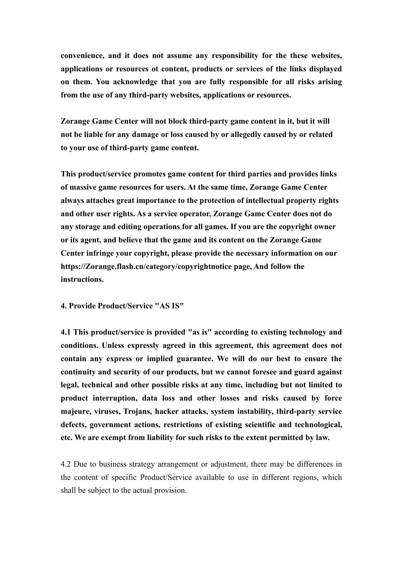**convenience, and it does not assume any responsibility for the these websites, applications or resources ot content, products or services of the links displayed on them. You acknowledge that you are fully responsible for all risks arising from the use of any third-party websites, applications or resources.**

**Zorange Game Center will not block third-party game content in it, but it will not be liable for any damage or loss caused by or allegedly caused by or related** to your use of third-party game content.<br>This product/service promotes game content for third parties and provides links

**of massive game resources for users. At the same time, Zorange Game Center always attaches great importance to the protection of intellectual property rights and other user rights. As a service operator, Zorange Game Center does not do any storage and editing operations for all games. If you are the copyright owner or its agent, and believe that the game and its content on the Zorange Game Center infringe your copyright, please provide the necessary information on our https://Zorange.flash.cn/category/copyrightnotice page, And follow the instructions.**

**4. Provide Product/Service "AS IS"**

**4.1 This product/service is provided "as is" according to existing technology and conditions. Unless expressly agreed in thisagreement, this agreement does not contain any express or implied guarantee. We will do our best to ensure the continuity and security of our products, but we cannot foresee and guard against legal, technical and other possible risks at any time, including but not limited to product interruption, data loss and other losses and risks caused by force majeure, viruses, Trojans, hacker attacks, system instability, third-party service defects, government actions, restrictions of existing scientific and technological, etc. We are exempt from liability for such risks to the extent permitted by law.**

4.2 Due to business strategy arrangement or adjustment, there may be differences in the content of specific Product/Service available to use in different regions, which shall be subject to the actual provision.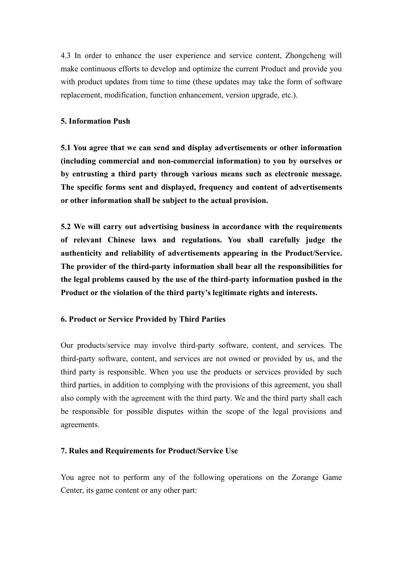4.3 In order to enhance the user experience and service content, Zhongcheng will make continuous efforts to develop and optimize the current Product and provide you with product updates from time to time (these updates may take the form of software replacement, modification, function enhancement, version upgrade, etc.).

### **5. Information Push**

**5.1 You agree that we can send and display advertisements or other information (including commercial and non-commercial information) to you by ourselves or by entrusting a third party through various means such as electronic message. The specific forms sent and displayed, frequency and content of advertisements or other information shall be subject to the actual provision.**

**5.2 We will carry out advertising business in accordance with the requirements of relevant Chinese laws and regulations. You shall carefully judge the authenticity and reliability of advertisements appearing in the Product/Service. The provider of the third-party information shall bear all the responsibilities for the legal problems caused by the use of the third-party information pushed in the Product or the violation of the third party's legitimate rights and interests.**

# **6. Product or Service Provided by Third Parties**

Our products/service may involve third-party software, content, and services. The third-party software, content, and services are not owned or provided by us, and the third party is responsible. When you use the products or services provided by such third parties, in addition to complying with the provisions of this agreement, you shall also comply with the agreement with the third party. We and the third party shall each be responsible for possible disputes within the scope of the legal provisions and agreements.

# **7. Rules and Requirements for Product/Service Use**

You agree not to perform any of the following operations on the Zorange Game Center, its game content or any other part: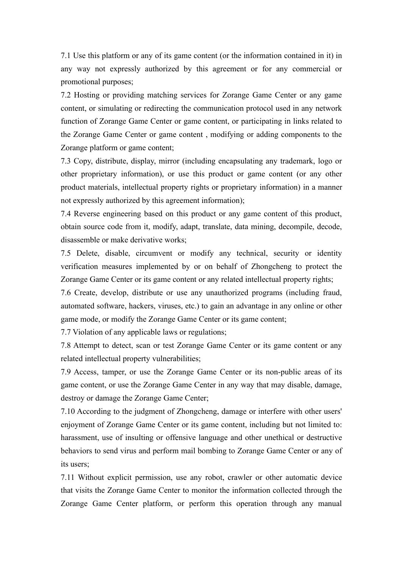7.1 Use this platform or any of its game content(or the information contained in it) in any way not expressly authorized by this agreement or for any commercial or promotional purposes;

7.2 Hosting or providing matching services for Zorange Game Center or any game content, or simulating or redirecting the communication protocol used in any network function of Zorange Game Center or game content, or participating in links related to the Zorange Game Center or game content , modifying or adding components to the Zorange platform or game content;

7.3 Copy, distribute, display, mirror (including encapsulating any trademark, logo or other proprietary information), or use this product or game content (or any other product materials, intellectual property rights or proprietary information) in a manner not expressly authorized by this agreement information);

7.4 Reverse engineering based on this product or any game content of this product, obtain source code from it, modify, adapt, translate, data mining, decompile, decode, disassemble or make derivative works;

7.5 Delete, disable, circumvent or modify any technical, security or identity verification measures implemented by or on behalf of Zhongcheng to protect the Zorange Game Center or its game content or any related intellectual property rights;

7.6 Create, develop, distribute or use any unauthorized programs (including fraud, automated software, hackers, viruses, etc.) to gain an advantage in any online or other game mode, or modify the Zorange Game Center or its game content;

7.7 Violation of any applicable laws or regulations;

7.8 Attempt to detect, scan or test Zorange Game Center or its game content or any related intellectual property vulnerabilities;

7.9 Access, tamper, or use the Zorange Game Center or its non-public areas of its game content, or use the Zorange Game Center in any way that may disable, damage, destroy or damage the Zorange Game Center;

7.10 According to the judgment of Zhongcheng, damage or interfere with other users' enjoyment of Zorange Game Center or its game content, including but not limited to: harassment, use of insulting or offensive language and other unethical or destructive behaviors to send virus and perform mail bombing to Zorange Game Center or any of its users;

7.11 Without explicit permission, use any robot, crawler or other automatic device that visits the Zorange Game Center to monitor the information collected through the Zorange Game Center platform, or perform this operation through any manual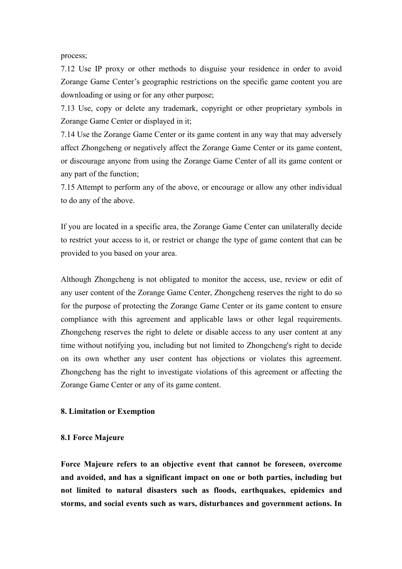process;

7.12 Use IP proxy or other methods to disguise your residence in order to avoid Zorange Game Center's geographic restrictions on the specific game content you are downloading or using or for any other purpose;

7.13 Use, copy or delete any trademark, copyright or other proprietary symbols in Zorange Game Center or displayed in it;

7.14 Use the Zorange Game Center or its game contentin any way that may adversely affect Zhongcheng or negatively affect the Zorange Game Center or its game content, or discourage anyone from using the Zorange Game Center of all its game content or any part of the function;

7.15 Attempt to perform any of the above, orencourage or allow any other individual to do any of the above.

If you are located in a specific area, the Zorange Game Center can unilaterally decide to restrict your access to it, or restrict or change the type of game content that can be provided to you based on your area.

Although Zhongcheng is not obligated to monitor the access, use, review or edit of any user content of the Zorange Game Center, Zhongcheng reserves the right to do so for the purpose of protecting the Zorange Game Center or its game content to ensure compliance with this agreement and applicable laws or other legal requirements. Zhongcheng reserves the right to delete or disable access to any user content at any time without notifying you, including but not limited to Zhongcheng's right to decide on its own whether any user content has objections or violates this agreement. Zhongcheng has the right to investigate violations of this agreement or affecting the Zorange Game Center or any of its game content.

### **8. Limitation or Exemption**

#### **8.1 Force Majeure**

**Force Majeure refers to an objective event that cannot be foreseen, overcome and avoided, and has a significant impact on one or both parties, including but not limited to natural disasters such as floods, earthquakes, epidemics and storms, and social events such as wars,disturbances and government actions. In**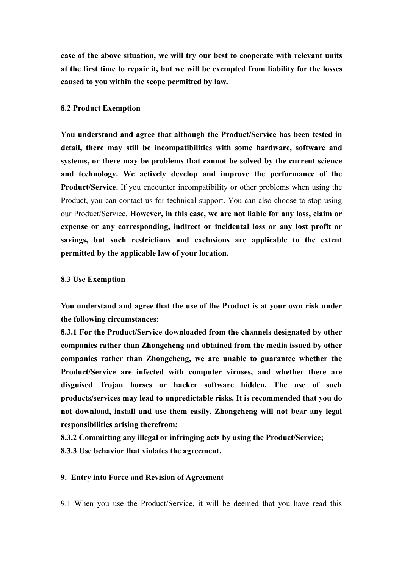**case of the above situation, we will try our best to cooperate with relevant units at the firsttime to repair it, but we will be exempted from liability for the losses caused to you within the scope permitted by law.**

#### **8.2 Product Exemption**

**You understand and agree thatalthough the Product/Service has been tested in detail, there may still be incompatibilities with some hardware, software and systems, or there may be problems that cannot be solved by the current science and technology. We actively develop and improve the performance of the Product/Service.** If you encounter incompatibility or other problems when using the Product, you can contact us for technical support. You can also choose to stop using our Product/Service. **However, in this case, we are not liable for any loss, claim or expense or any corresponding, indirect or incidental loss or any lost profit or savings, but such restrictions and exclusions are applicable to the extent permitted by the applicable law of your location.**

#### **8.3 Use Exemption**

You understand and agree that the use of the Product is at your own risk under **the following circumstances:**

**8.3.1 For the Product/Service downloaded from the channels designated by other companies rather than Zhongcheng and obtained from the media issued by other companies rather than Zhongcheng, we are unable to guarantee whether the Product/Service are infected with computer viruses, and whether there are disguised Trojan horses or hacker software hidden. The use of such products/services may lead tounpredictable risks. It is recommended that you do not download, install and use them easily. Zhongcheng will not bear any legal responsibilities arising therefrom;**

**8.3.2 Committing any illegal or infringing acts by using the Product/Service; 8.3.3 Use behavior that violates the agreement.**

### **9. Entry into Force and Revision of Agreement**

9.1 When you use the Product/Service, it will be deemed that you have read this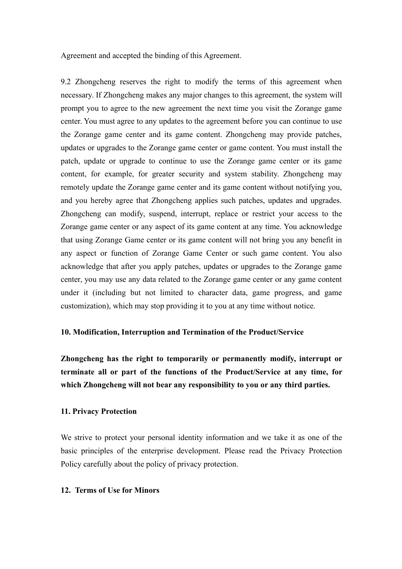Agreement and accepted the binding of this Agreement.

9.2 Zhongcheng reserves the right to modify the terms of this agreement when necessary. If Zhongcheng makes any major changes to this agreement, the system will prompt you to agree to the new agreement the next time you visit the Zorange game center. You must agree to any updates to the agreement before you can continue to use the Zorange game center and its game content. Zhongcheng may provide patches, updates or upgrades to the Zorange game center or game content. You must install the patch, update or upgrade to continue to use the Zorange game center or its game content, for example, for greater security and system stability. Zhongcheng may remotely update the Zorange game center and its game content without notifying you, and you hereby agree that Zhongcheng applies such patches, updates and upgrades. Zhongcheng can modify, suspend, interrupt, replace or restrict your access to the Zorange game center or any aspect of its game content at any time. You acknowledge that using Zorange Game center or its game content will not bring you any benefit in any aspect or function of Zorange Game Center or such game content.You also acknowledge that after you apply patches, updates or upgrades to the Zorange game center, you may use any data related to the Zorange game center or any game content under it (including but not limited to character data, game progress, and game customization), which may stop providing it to you at any time without notice.

### **10. Modification, Interruption and Termination of the Product/Service**

**Zhongcheng has the right to temporarily or permanently modify, interrupt or terminate all or part of the functions of the Product/Service at any time, for which Zhongcheng will not bear any responsibility to you or any third parties.**

### **11. Privacy Protection**

We strive to protect your personal identity information and we take it as one of the basic principles of the enterprise development. Please read the Privacy Protection Policy carefully about the policy of privacy protection.

### 12. **Terms** of Use for Minors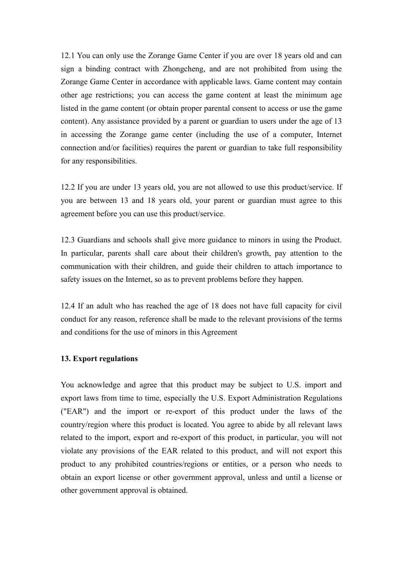12.1 You can only use the Zorange Game Center if you are over18 years old and can sign a binding contract with Zhongcheng, and are not prohibited from using the Zorange Game Center in accordance with applicable laws. Game content may contain other age restrictions; you can access the game content at least the minimum age listed in the game content (or obtain proper parental consent to access or use the game content). Any assistance provided by a parent or guardian to users under the age of 13 in accessing the Zorange game center (including the use of a computer, Internet connection and/or facilities) requires the parent or guardian to take full responsibility for any responsibilities.

12.2 If you are under 13 years old, you are not allowed to use this product/service. If you are between 13 and 18 years old, your parent or guardian must agree to this agreement before you can use this product/service.

12.3 Guardians and schools shall give more guidance to minors in using the Product.In particular, parents shall care about their children's growth, pay attention to the communication with their children, and guide their children to attach importance to safety issues on the Internet, so as to prevent problems before they happen.

12.4 If an adult who has reached the age of 18 does not have full capacity for civil conduct for any reason, reference shall be made to the relevant provisions of the terms and conditions for the use of minors in this Agreement

### **13. Export regulations**

You acknowledge and agree that this product may be subject to U.S. import and export laws from time to time, especially the U.S. Export Administration Regulations ("EAR") and the import or re-export of this product under the laws of the country/region where this product is located. You agree to abide by all relevant laws related to the import, export and re-export of this product, in particular, you will not violate any provisions of the EAR related to this product, and will not export this product to any prohibited countries/regions or entities, or a person who needs to obtain an export license or other government approval, unless and until a license or other government approval is obtained.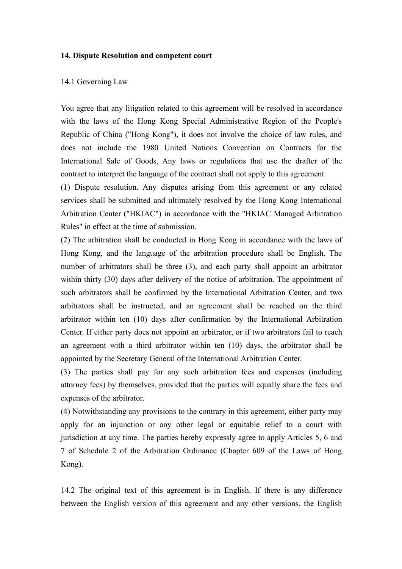### **14. Dispute Resolution and competent court**

#### 14.1 Governing Law

You agree that any litigation related to this agreement will be resolved in accordance with the laws of the Hong Kong Special Administrative Region of the People's Republic of China ("Hong Kong"), it does not involve the choice of law rules, and does not include the 1980 United Nations Convention on Contracts for the International Sale of Goods, Any laws or regulations that use the drafter of the contract to interpret the language of the contract shall not apply to this agreement

(1) Dispute resolution. Any disputes arising from this agreement or any related services shall be submitted and ultimately resolved by the Hong Kong International Arbitration Center ("HKIAC") in accordance with the "HKIAC Managed Arbitration Rules" in effect at the time of submission.

(2) The arbitration shall be conducted in Hong Kong in accordance with the laws of Hong Kong, and the language of the arbitration procedure shall be English. The number of arbitrators shall be three (3), and each party shall appoint an arbitrator within thirty (30) days after delivery of the notice of arbitration. The appointment of such arbitrators shall be confirmed by the International Arbitration Center, and two arbitrators shall be instructed, and an agreement shall be reached on the third arbitrator within ten (10) days after confirmation by the International Arbitration Center. If either party does not appoint an arbitrator, or if two arbitrators fail to reach an agreement with a third arbitrator within ten  $(10)$  days, the arbitrator shall be appointed by the Secretary General of the International Arbitration Center.

(3) The parties shall pay for any such arbitration feesand expenses (including attorney fees) by themselves, provided that the parties will equally share the fees and expenses of the arbitrator.

(4) Notwithstanding any provisions to the contrary in this agreement, either party may apply for an injunction or any other legal or equitable relief to a court with jurisdiction at any time. The parties hereby expressly agree to apply Articles 5, 6 and 7 of Schedule 2 of the Arbitration Ordinance (Chapter 609 of the Laws of Hong Kong).

14.2 The original text of this agreement is in English. If there is any difference between the English version of this agreement and any other versions, the English